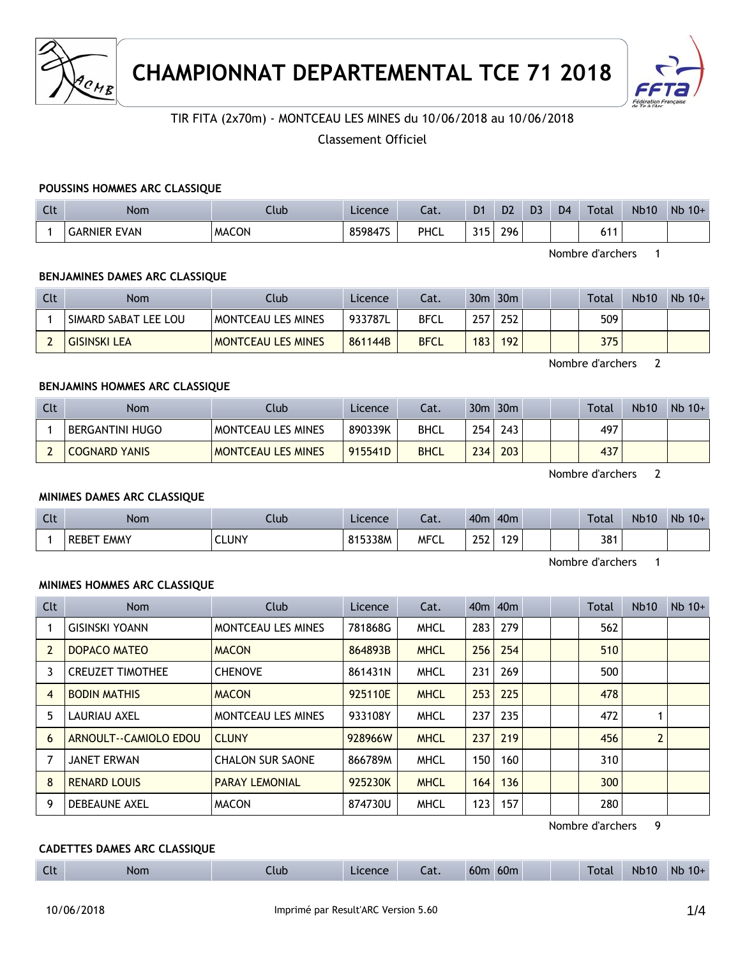



# TIR FITA (2x70m) - MONTCEAU LES MINES du 10/06/2018 au 10/06/2018

Classement Officiel

#### **POUSSINS HOMMES ARC CLASSIQUE**

| Clt | <b>Nom</b>          | Ilub         | Licence | $\sim$<br>cal. | D <sub>1</sub> | D <sub>2</sub> | D <sub>3</sub> | D <sub>4</sub> | <b>Total</b>   | <b>Nb10</b> | Nb<br>$10+$ |
|-----|---------------------|--------------|---------|----------------|----------------|----------------|----------------|----------------|----------------|-------------|-------------|
|     | <b>GARNIER EVAN</b> | <b>MACON</b> | 859847S | PHCL           | 24F<br>-       | 296            |                |                | $\overline{ }$ |             |             |

Nombre d'archers 1

### **BENJAMINES DAMES ARC CLASSIQUE**

| Clt | <b>Nom</b>           | Club                      | Licence | Cat.        |                  | $30m$ $30m$ |  | Total | <b>Nb10</b> | $Nb$ 10+ |
|-----|----------------------|---------------------------|---------|-------------|------------------|-------------|--|-------|-------------|----------|
|     | SIMARD SABAT LEE LOU | MONTCEAU LES MINES        | 933787L | <b>BFCL</b> | 257              | 252         |  | 509   |             |          |
|     | <b>GISINSKI LEA</b>  | <b>MONTCEAU LES MINES</b> | 861144B | <b>BFCL</b> | 183 <sub>1</sub> | 192         |  | 375   |             |          |

Nombre d'archers 2

## **BENJAMINS HOMMES ARC CLASSIQUE**

| Clt | Nom                  | Ilub                      | Licence | Cat.        |     | $30m$ $30m$ | Total | <b>Nb10</b> | $Nb$ 10+ |
|-----|----------------------|---------------------------|---------|-------------|-----|-------------|-------|-------------|----------|
|     | BERGANTINI HUGO      | MONTCEAU LES MINES        | 890339K | BHCL        | 254 | 243         | 497   |             |          |
|     | <b>COGNARD YANIS</b> | <b>MONTCEAU LES MINES</b> | 915541D | <b>BHCL</b> | 234 | 203         | 437   |             |          |

Nombre d'archers 2

#### **MINIMES DAMES ARC CLASSIQUE**

| Clt | <b>Nom</b>                  | Club  | Licence | ---<br>cal. | 40 <sub>m</sub> | 40 <sub>m</sub> |  | <b>Total</b> | <b>Nb10</b> | $Nb$ 10+ |
|-----|-----------------------------|-------|---------|-------------|-----------------|-----------------|--|--------------|-------------|----------|
|     | <b>EMMY</b><br><b>REBET</b> | CLUNY | 815338M | <b>MFCL</b> | つにつ<br>LJL      | <b>29</b>       |  | 381          |             |          |

Nombre d'archers 1

#### **MINIMES HOMMES ARC CLASSIQUE**

| Clt            | <b>Nom</b>              | Club                      | Licence | Cat.        | 40 <sub>m</sub> 40 <sub>m</sub> |     |  | Total | <b>Nb10</b>    | $Nb$ 10+ |
|----------------|-------------------------|---------------------------|---------|-------------|---------------------------------|-----|--|-------|----------------|----------|
|                | <b>GISINSKI YOANN</b>   | <b>MONTCEAU LES MINES</b> | 781868G | <b>MHCL</b> | 283                             | 279 |  | 562   |                |          |
| $\overline{2}$ | DOPACO MATEO            | <b>MACON</b>              | 864893B | <b>MHCL</b> | 256                             | 254 |  | 510   |                |          |
| 3              | <b>CREUZET TIMOTHEE</b> | <b>CHENOVE</b>            | 861431N | <b>MHCL</b> | 231                             | 269 |  | 500   |                |          |
| 4              | <b>BODIN MATHIS</b>     | <b>MACON</b>              | 925110E | <b>MHCL</b> | 253                             | 225 |  | 478   |                |          |
| 5              | LAURIAU AXEL            | <b>MONTCEAU LES MINES</b> | 933108Y | <b>MHCL</b> | 237                             | 235 |  | 472   |                |          |
| 6              | ARNOULT--CAMIOLO EDOU   | <b>CLUNY</b>              | 928966W | <b>MHCL</b> | 237                             | 219 |  | 456   | $\overline{2}$ |          |
| 7              | <b>JANET ERWAN</b>      | <b>CHALON SUR SAONE</b>   | 866789M | <b>MHCL</b> | 150                             | 160 |  | 310   |                |          |
| 8              | <b>RENARD LOUIS</b>     | <b>PARAY LEMONIAL</b>     | 925230K | <b>MHCL</b> | 164                             | 136 |  | 300   |                |          |
| 9              | <b>DEBEAUNE AXEL</b>    | <b>MACON</b>              | 874730U | <b>MHCL</b> | 123                             | 157 |  | 280   |                |          |

Nombre d'archers 9

# **CADETTES DAMES ARC CLASSIQUE**

| $C1+$<br>60 <sub>m</sub><br>60m<br>Tota.<br><b>Nb</b><br><b>Nb10</b><br>$10+$<br><b>Nom</b><br>Licence<br>Llub<br>$\sim$<br>Cal.<br>ี เเ |
|------------------------------------------------------------------------------------------------------------------------------------------|
|------------------------------------------------------------------------------------------------------------------------------------------|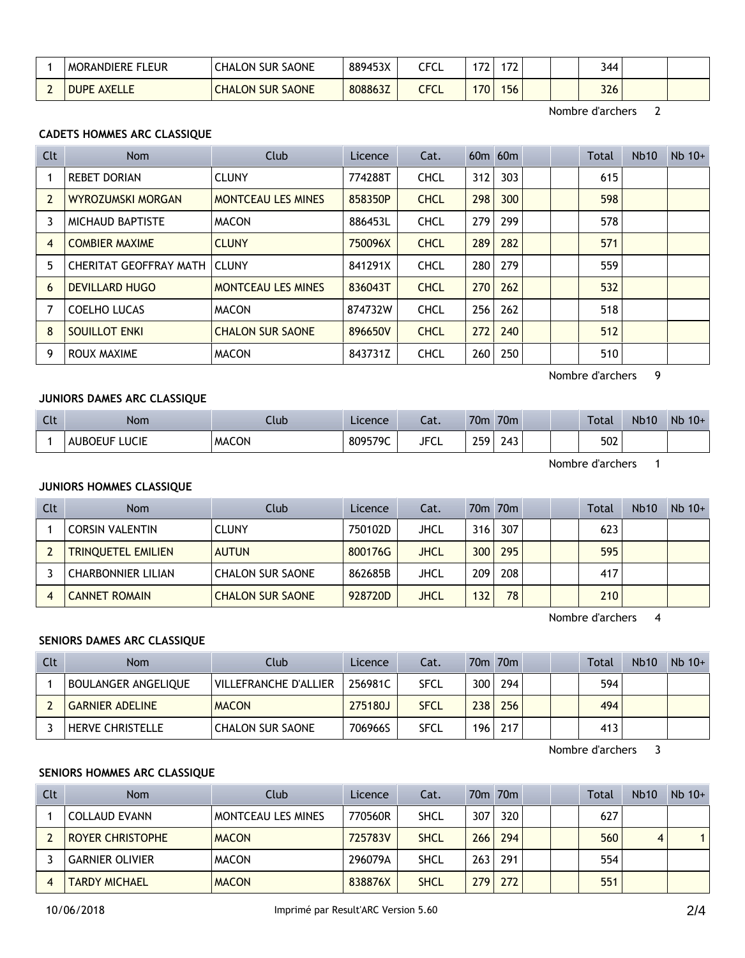| leur<br><b>MORANDIERE</b>    | SAONE<br>CHALON<br><b>SUR</b> | 889453X | - - - 1<br>CFCL | $\overline{\phantom{a}}$ | ~~  |  | 344 |  |
|------------------------------|-------------------------------|---------|-----------------|--------------------------|-----|--|-----|--|
| <b>AXELLE</b><br><b>DUPE</b> | <b>CHALON SUR SAONE</b>       | 808863Z | CFCL            | $170^{\circ}$            | 156 |  | 326 |  |

Nombre d'archers 2

# **CADETS HOMMES ARC CLASSIQUE**

| Clt            | <b>Nom</b>                     | <b>Club</b>               | Licence | Cat.        |     | $60m$ $60m$ |  | <b>Total</b> | Nb10 | $Nb$ 10+ |
|----------------|--------------------------------|---------------------------|---------|-------------|-----|-------------|--|--------------|------|----------|
|                | <b>REBET DORIAN</b>            | <b>CLUNY</b>              | 774288T | <b>CHCL</b> | 312 | 303         |  | 615          |      |          |
| $\overline{2}$ | <b>WYROZUMSKI MORGAN</b>       | <b>MONTCEAU LES MINES</b> | 858350P | <b>CHCL</b> | 298 | 300         |  | 598          |      |          |
| 3              | <b>MICHAUD BAPTISTE</b>        | <b>MACON</b>              | 886453L | <b>CHCL</b> | 279 | 299         |  | 578          |      |          |
| $\overline{4}$ | <b>COMBIER MAXIME</b>          | <b>CLUNY</b>              | 750096X | <b>CHCL</b> | 289 | 282         |  | 571          |      |          |
| 5              | CHERITAT GEOFFRAY MATH   CLUNY |                           | 841291X | <b>CHCL</b> | 280 | 279         |  | 559          |      |          |
| 6              | <b>DEVILLARD HUGO</b>          | <b>MONTCEAU LES MINES</b> | 836043T | <b>CHCL</b> | 270 | 262         |  | 532          |      |          |
| 7              | <b>COELHO LUCAS</b>            | <b>MACON</b>              | 874732W | <b>CHCL</b> | 256 | 262         |  | 518          |      |          |
| 8              | <b>SOUILLOT ENKI</b>           | <b>CHALON SUR SAONE</b>   | 896650V | <b>CHCL</b> | 272 | 240         |  | 512          |      |          |
| 9              | ROUX MAXIME                    | <b>MACON</b>              | 843731Z | <b>CHCL</b> | 260 | 250         |  | 510          |      |          |

Nombre d'archers 9

# **JUNIORS DAMES ARC CLASSIQUE**

| $\sim$<br>ี เเ | Nom                              | Llub         | Licence | $\sim$<br>caι. | 70 <sub>m</sub>   | 70 <sub>m</sub>           |  | <b>Total</b> | <b>Nb10</b> | Nb<br>$10+$ |
|----------------|----------------------------------|--------------|---------|----------------|-------------------|---------------------------|--|--------------|-------------|-------------|
|                | LICIE<br>НF<br>н<br>11 L<br>-951 | <b>MACON</b> | 809579C | <b>JFCL</b>    | 250<br><u>_ _</u> | ົ່<br>$\overline{a}$<br>⊷ |  | 502          |             |             |

Nombre d'archers 1

#### **JUNIORS HOMMES CLASSIQUE**

| Clt | <b>Nom</b>                | Club                    | Licence | Cat.        |     | 70 <sub>m</sub> 70 <sub>m</sub> |  | <b>Total</b> | <b>Nb10</b> | $Nb$ 10+ |
|-----|---------------------------|-------------------------|---------|-------------|-----|---------------------------------|--|--------------|-------------|----------|
|     | <b>CORSIN VALENTIN</b>    | <b>CLUNY</b>            | 750102D | JHCL        | 316 | 307                             |  | 623          |             |          |
|     | <b>TRINQUETEL EMILIEN</b> | <b>AUTUN</b>            | 800176G | <b>JHCL</b> | 300 | 295                             |  | 595          |             |          |
|     | <b>CHARBONNIER LILIAN</b> | <b>CHALON SUR SAONE</b> | 862685B | JHCL        | 209 | 208                             |  | 417          |             |          |
|     | <b>CANNET ROMAIN</b>      | <b>CHALON SUR SAONE</b> | 928720D | JHCL        | 132 | 78 <sub>1</sub>                 |  | 210          |             |          |

Nombre d'archers 4

#### **SENIORS DAMES ARC CLASSIQUE**

| Clt | Nom                        | Club                    | Licence | Cat.        |                  | 70m 70m |  | <b>Total</b> | <b>Nb10</b> | $Nb$ 10+ |
|-----|----------------------------|-------------------------|---------|-------------|------------------|---------|--|--------------|-------------|----------|
|     | <b>BOULANGER ANGELIQUE</b> | VILLEFRANCHE D'ALLIER   | 256981C | SFCL        | 300 <sub>1</sub> | 294     |  | 594          |             |          |
|     | <b>GARNIER ADELINE</b>     | <b>MACON</b>            | 275180J | <b>SFCL</b> | 238              | 256     |  | 494          |             |          |
|     | <b>HERVE CHRISTELLE</b>    | <b>CHALON SUR SAONE</b> | 706966S | <b>SFCL</b> | 196              | 217     |  | 413          |             |          |

Nombre d'archers 3

#### **SENIORS HOMMES ARC CLASSIQUE**

| Clt | <b>Nom</b>              | Club               | Licence | Cat.        |     | 70m 70m |  | <b>Total</b> | Nb10 | $Nb$ 10+ |
|-----|-------------------------|--------------------|---------|-------------|-----|---------|--|--------------|------|----------|
|     | COLLAUD EVANN           | MONTCEAU LES MINES | 770560R | <b>SHCL</b> | 307 | 320     |  | 627          |      |          |
|     | <b>ROYER CHRISTOPHE</b> | <b>MACON</b>       | 725783V | <b>SHCL</b> | 266 | 294     |  | 560          | 4    |          |
|     | <b>GARNIER OLIVIER</b>  | <b>MACON</b>       | 296079A | <b>SHCL</b> | 263 | 291     |  | 554          |      |          |
|     | <b>TARDY MICHAEL</b>    | <b>MACON</b>       | 838876X | <b>SHCL</b> | 279 | 272     |  | 551          |      |          |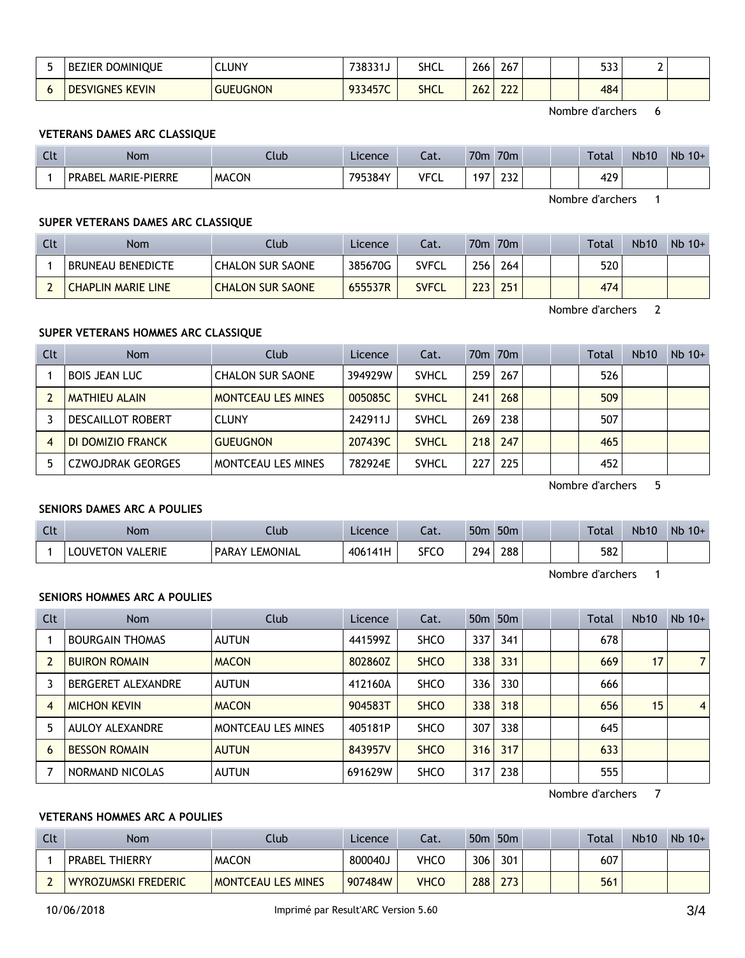| - | <b>BEZIER DOMINIQUE</b>          | CLUNY           | 738331J | SHCL        | 266 | 267        |  | につつ<br>ววว | -<br>∸ |  |
|---|----------------------------------|-----------------|---------|-------------|-----|------------|--|------------|--------|--|
|   | <b>KEVIN</b><br><b>DESVIGNES</b> | <b>GUEUGNON</b> | 933457C | <b>SHCL</b> | 262 | ววว<br>LLL |  | 484        |        |  |

Nombre d'archers 6

# **VETERANS DAMES ARC CLASSIQUE**

| Clt | <b>Nom</b>                    | Llub         | Licence | $\sim$<br>cal. | 70 <sub>m</sub>                    | 70 <sub>m</sub> | <b>Total</b> | <b>Nb10</b> | $Nb$ 10+ |
|-----|-------------------------------|--------------|---------|----------------|------------------------------------|-----------------|--------------|-------------|----------|
|     | MARIE-PIERRE<br><b>PRABEL</b> | <b>MACON</b> | 795384Y | <b>VFCL</b>    | $10^-$<br>$\overline{\phantom{a}}$ | ີ<br>ᅩJᄼ        | 429          |             |          |

Nombre d'archers 1

#### **SUPER VETERANS DAMES ARC CLASSIQUE**

| Clt | <b>Nom</b>               | Club                    | Licence | Cat.         |                  | 70m 70m |  | Total | <b>Nb10</b> | $Nb$ 10+ |
|-----|--------------------------|-------------------------|---------|--------------|------------------|---------|--|-------|-------------|----------|
|     | <b>BRUNEAU BENEDICTE</b> | <b>CHALON SUR SAONE</b> | 385670G | <b>SVFCL</b> | 256 <sub>1</sub> | 264     |  | 520   |             |          |
|     | CHAPLIN MARIE LINE       | <b>CHALON SUR SAONE</b> | 655537R | SVFCL        | 223 <sub>1</sub> | 251     |  | 474   |             |          |

Nombre d'archers 2

# **SUPER VETERANS HOMMES ARC CLASSIQUE**

| Clt | <b>Nom</b>               | Club                      | Licence | Cat.         |     | 70 <sub>m</sub> 70 <sub>m</sub> |  | <b>Total</b> | <b>Nb10</b> | $Nb$ 10+ |
|-----|--------------------------|---------------------------|---------|--------------|-----|---------------------------------|--|--------------|-------------|----------|
|     | <b>BOIS JEAN LUC</b>     | <b>CHALON SUR SAONE</b>   | 394929W | <b>SVHCL</b> | 259 | 267                             |  | 526          |             |          |
|     | <b>MATHIEU ALAIN</b>     | <b>MONTCEAU LES MINES</b> | 005085C | <b>SVHCL</b> | 241 | 268                             |  | 509          |             |          |
|     | <b>DESCAILLOT ROBERT</b> | <b>CLUNY</b>              | 242911J | <b>SVHCL</b> | 269 | 238                             |  | 507          |             |          |
| 4   | DI DOMIZIO FRANCK        | <b>GUEUGNON</b>           | 207439C | <b>SVHCL</b> | 218 | 247                             |  | 465          |             |          |
|     | <b>CZWOJDRAK GEORGES</b> | MONTCEAU LES MINES        | 782924E | <b>SVHCL</b> | 227 | 225                             |  | 452          |             |          |

Nombre d'archers 5

#### **SENIORS DAMES ARC A POULIES**

| Clt | <b>Nom</b>                             | .lub                        | Licence | $\sim$<br>cal. | 50n | 50 <sub>m</sub> |  | <b>Total</b> | <b>Nb10</b> | Nb<br>$10+$ |
|-----|----------------------------------------|-----------------------------|---------|----------------|-----|-----------------|--|--------------|-------------|-------------|
|     | I VALERIE<br>LOUVE <sup>-</sup><br>ΓΟΝ | ' EMONIAL<br><b>PARAY I</b> | 406141H | <b>SFCC</b>    | 294 | 288             |  | 582          |             |             |

Nombre d'archers 1

#### **SENIORS HOMMES ARC A POULIES**

| Clt | <b>Nom</b>             | Club               | Licence | Cat.        |       | 50 <sub>m</sub> 50 <sub>m</sub> |  | <b>Total</b> | Nb10 | $Nb$ 10+       |
|-----|------------------------|--------------------|---------|-------------|-------|---------------------------------|--|--------------|------|----------------|
|     | <b>BOURGAIN THOMAS</b> | <b>AUTUN</b>       | 441599Z | <b>SHCO</b> | 337   | 341                             |  | 678          |      |                |
|     | <b>BUIRON ROMAIN</b>   | <b>MACON</b>       | 802860Z | <b>SHCO</b> | 338   | 331                             |  | 669          | 17   | 7 <sup>1</sup> |
|     | BERGERET ALEXANDRE     | <b>AUTUN</b>       | 412160A | <b>SHCO</b> | 336 l | 330                             |  | 666          |      |                |
| 4   | <b>MICHON KEVIN</b>    | <b>MACON</b>       | 904583T | <b>SHCO</b> | 338   | 318                             |  | 656          | 15   | 4              |
|     | AULOY ALEXANDRE        | MONTCEAU LES MINES | 405181P | <b>SHCO</b> | 307   | 338                             |  | 645          |      |                |
| 6   | <b>BESSON ROMAIN</b>   | <b>AUTUN</b>       | 843957V | <b>SHCO</b> | 316   | 317                             |  | 633          |      |                |
|     | NORMAND NICOLAS        | <b>AUTUN</b>       | 691629W | <b>SHCO</b> | 317   | 238                             |  | 555          |      |                |

Nombre d'archers 7

# **VETERANS HOMMES ARC A POULIES**

| Clt | Nom                   | าแปา                      | Licence | ۵t.  |     | 50 <sub>m</sub> 50 <sub>m</sub> |  | Total | <b>Nb10</b> | $Nb$ 10+ |
|-----|-----------------------|---------------------------|---------|------|-----|---------------------------------|--|-------|-------------|----------|
|     | <b>PRABEL THIERRY</b> | <b>MACON</b>              | 800040J | VHCO | 306 | 301                             |  | 607   |             |          |
|     | WYROZUMSKI FREDERIC   | <b>MONTCEAU LES MINES</b> | 907484W | VHCO | 288 | 273                             |  | 561   |             |          |